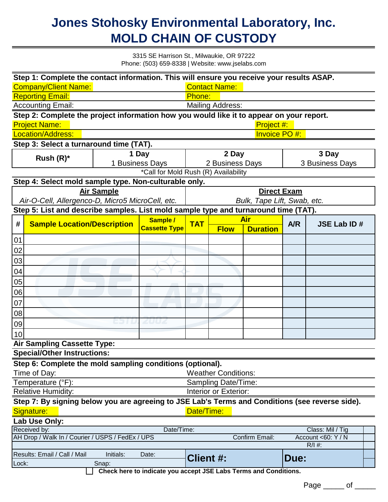## **Jones Stohosky Environmental Laboratory, Inc. MOLD CHAIN OF CUSTODY**

3315 SE Harrison St., Milwaukie, OR 97222 Phone: (503) 659-8338 | Website: www.jselabs.com

|                                                                                                                             | Step 1: Complete the contact information. This will ensure you receive your results ASAP. |                                    |                                  |                                      |                            |                 |                 |                    |  |  |  |
|-----------------------------------------------------------------------------------------------------------------------------|-------------------------------------------------------------------------------------------|------------------------------------|----------------------------------|--------------------------------------|----------------------------|-----------------|-----------------|--------------------|--|--|--|
| <b>Contact Name:</b><br><b>Company/Client Name:</b>                                                                         |                                                                                           |                                    |                                  |                                      |                            |                 |                 |                    |  |  |  |
| <b>Reporting Email:</b><br>Phone:                                                                                           |                                                                                           |                                    |                                  |                                      |                            |                 |                 |                    |  |  |  |
| <b>Accounting Email:</b><br><b>Mailing Address:</b>                                                                         |                                                                                           |                                    |                                  |                                      |                            |                 |                 |                    |  |  |  |
| Step 2: Complete the project information how you would like it to appear on your report.                                    |                                                                                           |                                    |                                  |                                      |                            |                 |                 |                    |  |  |  |
|                                                                                                                             | <b>Project Name:</b>                                                                      |                                    |                                  |                                      | Project #:                 |                 |                 |                    |  |  |  |
| Location/Address:                                                                                                           |                                                                                           |                                    |                                  |                                      | <b>Invoice PO#:</b>        |                 |                 |                    |  |  |  |
| Step 3: Select a turnaround time (TAT).                                                                                     |                                                                                           |                                    |                                  |                                      |                            |                 |                 |                    |  |  |  |
| Rush $(R)^*$                                                                                                                |                                                                                           | 1 Day                              |                                  | 2 Day                                |                            |                 | 3 Day           |                    |  |  |  |
|                                                                                                                             |                                                                                           | 1 Business Days                    |                                  | 2 Business Days                      |                            |                 | 3 Business Days |                    |  |  |  |
|                                                                                                                             |                                                                                           |                                    |                                  | *Call for Mold Rush (R) Availability |                            |                 |                 |                    |  |  |  |
| Step 4: Select mold sample type. Non-culturable only.                                                                       |                                                                                           |                                    |                                  |                                      |                            |                 |                 |                    |  |  |  |
|                                                                                                                             |                                                                                           | <b>Air Sample</b>                  |                                  |                                      | <b>Direct Exam</b>         |                 |                 |                    |  |  |  |
| Air-O-Cell, Allergenco-D, Micro5 MicroCell, etc.                                                                            |                                                                                           |                                    |                                  | Bulk, Tape Lift, Swab, etc.          |                            |                 |                 |                    |  |  |  |
| Step 5: List and describe samples. List mold sample type and turnaround time (TAT).                                         |                                                                                           |                                    |                                  |                                      |                            |                 |                 |                    |  |  |  |
|                                                                                                                             |                                                                                           | <b>Sample Location/Description</b> | Sample /<br><b>Cassette Type</b> |                                      | <b>Air</b>                 |                 |                 |                    |  |  |  |
| #                                                                                                                           |                                                                                           |                                    |                                  | <b>TAT</b>                           | <b>Flow</b>                | <b>Duration</b> | A/R             | <b>JSE Lab ID#</b> |  |  |  |
| 01                                                                                                                          |                                                                                           |                                    |                                  |                                      |                            |                 |                 |                    |  |  |  |
| 02                                                                                                                          |                                                                                           |                                    |                                  |                                      |                            |                 |                 |                    |  |  |  |
| 03                                                                                                                          |                                                                                           |                                    |                                  |                                      |                            |                 |                 |                    |  |  |  |
|                                                                                                                             |                                                                                           |                                    |                                  |                                      |                            |                 |                 |                    |  |  |  |
| 04                                                                                                                          |                                                                                           |                                    |                                  |                                      |                            |                 |                 |                    |  |  |  |
| 05                                                                                                                          |                                                                                           |                                    |                                  |                                      |                            |                 |                 |                    |  |  |  |
| 06                                                                                                                          |                                                                                           |                                    |                                  |                                      |                            |                 |                 |                    |  |  |  |
| 07                                                                                                                          |                                                                                           |                                    |                                  |                                      |                            |                 |                 |                    |  |  |  |
| 08                                                                                                                          |                                                                                           |                                    |                                  |                                      |                            |                 |                 |                    |  |  |  |
| 09                                                                                                                          |                                                                                           |                                    | 2002                             |                                      |                            |                 |                 |                    |  |  |  |
| 10                                                                                                                          |                                                                                           |                                    |                                  |                                      |                            |                 |                 |                    |  |  |  |
|                                                                                                                             | <b>Air Sampling Cassette Type:</b>                                                        |                                    |                                  |                                      |                            |                 |                 |                    |  |  |  |
|                                                                                                                             | <b>Special/Other Instructions:</b>                                                        |                                    |                                  |                                      |                            |                 |                 |                    |  |  |  |
|                                                                                                                             | Step 6: Complete the mold sampling conditions (optional).                                 |                                    |                                  |                                      |                            |                 |                 |                    |  |  |  |
|                                                                                                                             | Time of Day:                                                                              |                                    |                                  |                                      | <b>Weather Conditions:</b> |                 |                 |                    |  |  |  |
|                                                                                                                             | Temperature (°F):<br>Sampling Date/Time:                                                  |                                    |                                  |                                      |                            |                 |                 |                    |  |  |  |
|                                                                                                                             | <b>Relative Humidity:</b><br>Interior or Exterior:                                        |                                    |                                  |                                      |                            |                 |                 |                    |  |  |  |
|                                                                                                                             |                                                                                           |                                    |                                  |                                      |                            |                 |                 |                    |  |  |  |
| Step 7: By signing below you are agreeing to JSE Lab's Terms and Conditions (see reverse side).<br>Date/Time:<br>Signature: |                                                                                           |                                    |                                  |                                      |                            |                 |                 |                    |  |  |  |
|                                                                                                                             | Lab Use Only:                                                                             |                                    |                                  |                                      |                            |                 |                 |                    |  |  |  |
|                                                                                                                             | Received by:<br>Date/Time:<br>Class: Mil / Tig                                            |                                    |                                  |                                      |                            |                 |                 |                    |  |  |  |
| AH Drop / Walk In / Courier / USPS / FedEx / UPS<br>Confirm Email:<br>Account <60: Y / N                                    |                                                                                           |                                    |                                  |                                      |                            |                 |                 |                    |  |  |  |
|                                                                                                                             |                                                                                           |                                    |                                  |                                      |                            |                 |                 | $R/I$ #:           |  |  |  |
| Results: Email / Call / Mail<br>Initials:<br>Date:<br><b>Client #:</b><br><b>Due:</b>                                       |                                                                                           |                                    |                                  |                                      |                            |                 |                 |                    |  |  |  |
| Lock:<br>Snap:                                                                                                              |                                                                                           |                                    |                                  |                                      |                            |                 |                 |                    |  |  |  |
| Check here to indicate you accept JSE Labs Terms and Conditions.                                                            |                                                                                           |                                    |                                  |                                      |                            |                 |                 |                    |  |  |  |